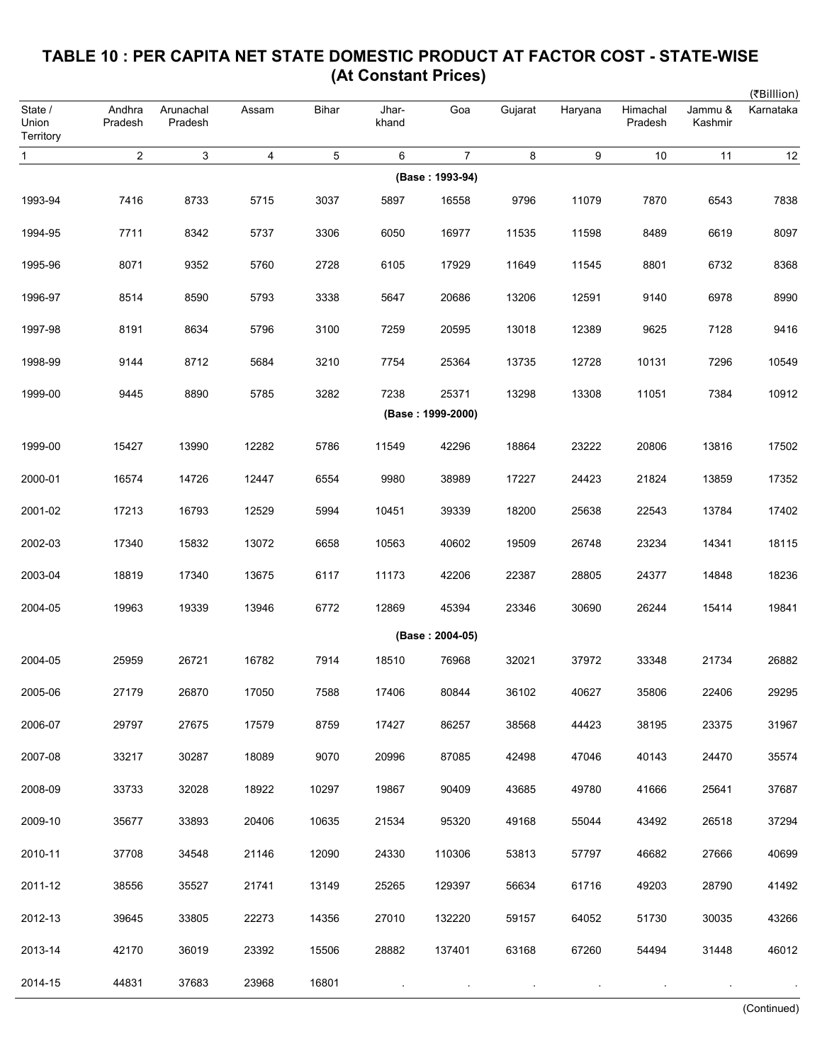|                               |                         |                      |       |                |                |                   |         |         |                     |                    | (₹Billlion) |
|-------------------------------|-------------------------|----------------------|-------|----------------|----------------|-------------------|---------|---------|---------------------|--------------------|-------------|
| State /<br>Union<br>Territory | Andhra<br>Pradesh       | Arunachal<br>Pradesh | Assam | Bihar          | Jhar-<br>khand | Goa               | Gujarat | Haryana | Himachal<br>Pradesh | Jammu &<br>Kashmir | Karnataka   |
| $\mathbf{1}$                  | $\overline{\mathbf{c}}$ | 3                    | 4     | $\overline{5}$ | 6              | 7                 | 8       | 9       | 10                  | 11                 | 12          |
|                               |                         |                      |       |                |                | (Base: 1993-94)   |         |         |                     |                    |             |
| 1993-94                       | 7416                    | 8733                 | 5715  | 3037           | 5897           | 16558             | 9796    | 11079   | 7870                | 6543               | 7838        |
| 1994-95                       | 7711                    | 8342                 | 5737  | 3306           | 6050           | 16977             | 11535   | 11598   | 8489                | 6619               | 8097        |
| 1995-96                       | 8071                    | 9352                 | 5760  | 2728           | 6105           | 17929             | 11649   | 11545   | 8801                | 6732               | 8368        |
| 1996-97                       | 8514                    | 8590                 | 5793  | 3338           | 5647           | 20686             | 13206   | 12591   | 9140                | 6978               | 8990        |
| 1997-98                       | 8191                    | 8634                 | 5796  | 3100           | 7259           | 20595             | 13018   | 12389   | 9625                | 7128               | 9416        |
| 1998-99                       | 9144                    | 8712                 | 5684  | 3210           | 7754           | 25364             | 13735   | 12728   | 10131               | 7296               | 10549       |
| 1999-00                       | 9445                    | 8890                 | 5785  | 3282           | 7238           | 25371             | 13298   | 13308   | 11051               | 7384               | 10912       |
|                               |                         |                      |       |                |                | (Base: 1999-2000) |         |         |                     |                    |             |
| 1999-00                       | 15427                   | 13990                | 12282 | 5786           | 11549          | 42296             | 18864   | 23222   | 20806               | 13816              | 17502       |
| 2000-01                       | 16574                   | 14726                | 12447 | 6554           | 9980           | 38989             | 17227   | 24423   | 21824               | 13859              | 17352       |
| 2001-02                       | 17213                   | 16793                | 12529 | 5994           | 10451          | 39339             | 18200   | 25638   | 22543               | 13784              | 17402       |
| 2002-03                       | 17340                   | 15832                | 13072 | 6658           | 10563          | 40602             | 19509   | 26748   | 23234               | 14341              | 18115       |
| 2003-04                       | 18819                   | 17340                | 13675 | 6117           | 11173          | 42206             | 22387   | 28805   | 24377               | 14848              | 18236       |
| 2004-05                       | 19963                   | 19339                | 13946 | 6772           | 12869          | 45394             | 23346   | 30690   | 26244               | 15414              | 19841       |
|                               |                         |                      |       |                |                | (Base: 2004-05)   |         |         |                     |                    |             |
| 2004-05                       | 25959                   | 26721                | 16782 | 7914           | 18510          | 76968             | 32021   | 37972   | 33348               | 21734              | 26882       |
| 2005-06                       | 27179                   | 26870                | 17050 | 7588           | 17406          | 80844             | 36102   | 40627   | 35806               | 22406              | 29295       |
| 2006-07                       | 29797                   | 27675                | 17579 | 8759           | 17427          | 86257             | 38568   | 44423   | 38195               | 23375              | 31967       |
| 2007-08                       | 33217                   | 30287                | 18089 | 9070           | 20996          | 87085             | 42498   | 47046   | 40143               | 24470              | 35574       |
| 2008-09                       | 33733                   | 32028                | 18922 | 10297          | 19867          | 90409             | 43685   | 49780   | 41666               | 25641              | 37687       |
| 2009-10                       | 35677                   | 33893                | 20406 | 10635          | 21534          | 95320             | 49168   | 55044   | 43492               | 26518              | 37294       |
| 2010-11                       | 37708                   | 34548                | 21146 | 12090          | 24330          | 110306            | 53813   | 57797   | 46682               | 27666              | 40699       |
| 2011-12                       | 38556                   | 35527                | 21741 | 13149          | 25265          | 129397            | 56634   | 61716   | 49203               | 28790              | 41492       |
| 2012-13                       | 39645                   | 33805                | 22273 | 14356          | 27010          | 132220            | 59157   | 64052   | 51730               | 30035              | 43266       |
| 2013-14                       | 42170                   | 36019                | 23392 | 15506          | 28882          | 137401            | 63168   | 67260   | 54494               | 31448              | 46012       |
| 2014-15                       | 44831                   | 37683                | 23968 | 16801          |                |                   |         |         |                     |                    |             |

## **TABLE 10 : PER CAPITA NET STATE DOMESTIC PRODUCT AT FACTOR COST - STATE-WISE (At Constant Prices)**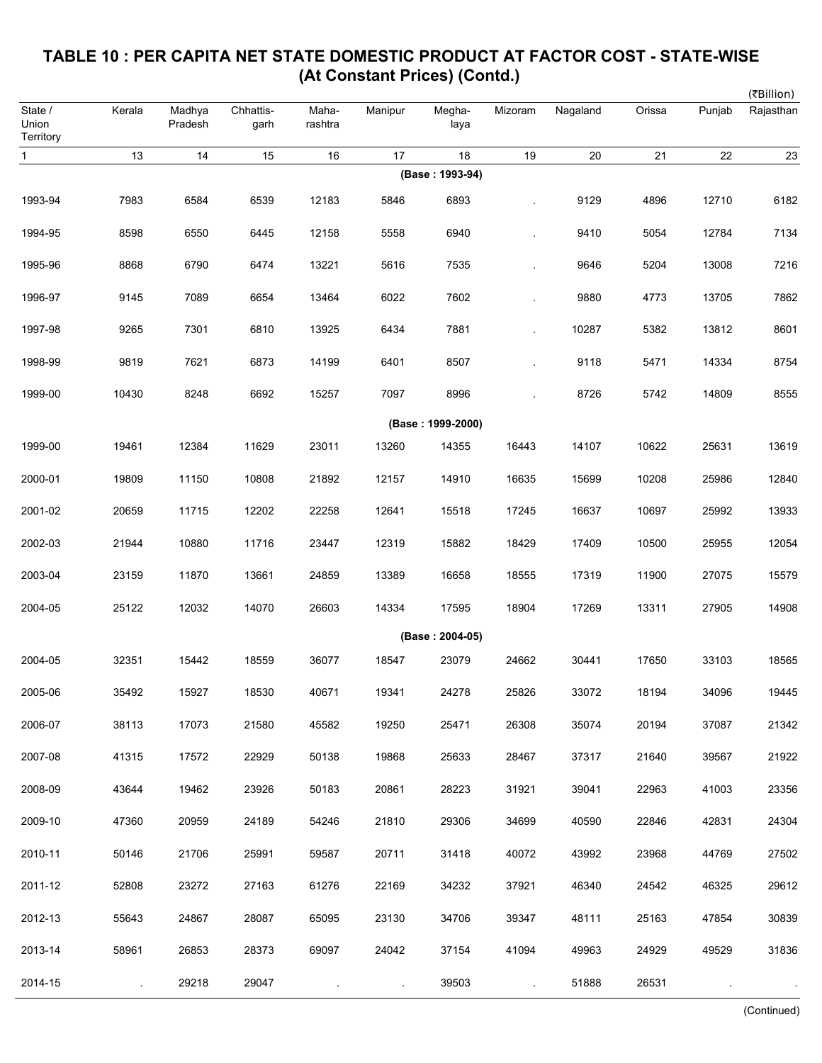|                               |        |                   |                   |                  |         |                   |         |          |        |        | (₹Billion) |
|-------------------------------|--------|-------------------|-------------------|------------------|---------|-------------------|---------|----------|--------|--------|------------|
| State /<br>Union<br>Territory | Kerala | Madhya<br>Pradesh | Chhattis-<br>garh | Maha-<br>rashtra | Manipur | Megha-<br>laya    | Mizoram | Nagaland | Orissa | Punjab | Rajasthan  |
| $\mathbf{1}$                  | 13     | 14                | 15                | 16               | 17      | 18                | 19      | 20       | 21     | 22     | 23         |
|                               |        |                   |                   |                  |         | (Base: 1993-94)   |         |          |        |        |            |
| 1993-94                       | 7983   | 6584              | 6539              | 12183            | 5846    | 6893              |         | 9129     | 4896   | 12710  | 6182       |
| 1994-95                       | 8598   | 6550              | 6445              | 12158            | 5558    | 6940              |         | 9410     | 5054   | 12784  | 7134       |
| 1995-96                       | 8868   | 6790              | 6474              | 13221            | 5616    | 7535              |         | 9646     | 5204   | 13008  | 7216       |
| 1996-97                       | 9145   | 7089              | 6654              | 13464            | 6022    | 7602              |         | 9880     | 4773   | 13705  | 7862       |
| 1997-98                       | 9265   | 7301              | 6810              | 13925            | 6434    | 7881              |         | 10287    | 5382   | 13812  | 8601       |
| 1998-99                       | 9819   | 7621              | 6873              | 14199            | 6401    | 8507              |         | 9118     | 5471   | 14334  | 8754       |
| 1999-00                       | 10430  | 8248              | 6692              | 15257            | 7097    | 8996              |         | 8726     | 5742   | 14809  | 8555       |
|                               |        |                   |                   |                  |         | (Base: 1999-2000) |         |          |        |        |            |
| 1999-00                       | 19461  | 12384             | 11629             | 23011            | 13260   | 14355             | 16443   | 14107    | 10622  | 25631  | 13619      |
| 2000-01                       | 19809  | 11150             | 10808             | 21892            | 12157   | 14910             | 16635   | 15699    | 10208  | 25986  | 12840      |
| 2001-02                       | 20659  | 11715             | 12202             | 22258            | 12641   | 15518             | 17245   | 16637    | 10697  | 25992  | 13933      |
| 2002-03                       | 21944  | 10880             | 11716             | 23447            | 12319   | 15882             | 18429   | 17409    | 10500  | 25955  | 12054      |
| 2003-04                       | 23159  | 11870             | 13661             | 24859            | 13389   | 16658             | 18555   | 17319    | 11900  | 27075  | 15579      |
| 2004-05                       | 25122  | 12032             | 14070             | 26603            | 14334   | 17595             | 18904   | 17269    | 13311  | 27905  | 14908      |
|                               |        |                   |                   |                  |         | (Base: 2004-05)   |         |          |        |        |            |
| 2004-05                       | 32351  | 15442             | 18559             | 36077            | 18547   | 23079             | 24662   | 30441    | 17650  | 33103  | 18565      |
| 2005-06                       | 35492  | 15927             | 18530             | 40671            | 19341   | 24278             | 25826   | 33072    | 18194  | 34096  | 19445      |
| 2006-07                       | 38113  | 17073             | 21580             | 45582            | 19250   | 25471             | 26308   | 35074    | 20194  | 37087  | 21342      |
| 2007-08                       | 41315  | 17572             | 22929             | 50138            | 19868   | 25633             | 28467   | 37317    | 21640  | 39567  | 21922      |
| 2008-09                       | 43644  | 19462             | 23926             | 50183            | 20861   | 28223             | 31921   | 39041    | 22963  | 41003  | 23356      |
| 2009-10                       | 47360  | 20959             | 24189             | 54246            | 21810   | 29306             | 34699   | 40590    | 22846  | 42831  | 24304      |
| 2010-11                       | 50146  | 21706             | 25991             | 59587            | 20711   | 31418             | 40072   | 43992    | 23968  | 44769  | 27502      |
| 2011-12                       | 52808  | 23272             | 27163             | 61276            | 22169   | 34232             | 37921   | 46340    | 24542  | 46325  | 29612      |
| 2012-13                       | 55643  | 24867             | 28087             | 65095            | 23130   | 34706             | 39347   | 48111    | 25163  | 47854  | 30839      |
| 2013-14                       | 58961  | 26853             | 28373             | 69097            | 24042   | 37154             | 41094   | 49963    | 24929  | 49529  | 31836      |
| 2014-15                       |        | 29218             | 29047             |                  |         | 39503             |         | 51888    | 26531  |        |            |

## **TABLE 10 : PER CAPITA NET STATE DOMESTIC PRODUCT AT FACTOR COST - STATE-WISE (At Constant Prices) (Contd.)**